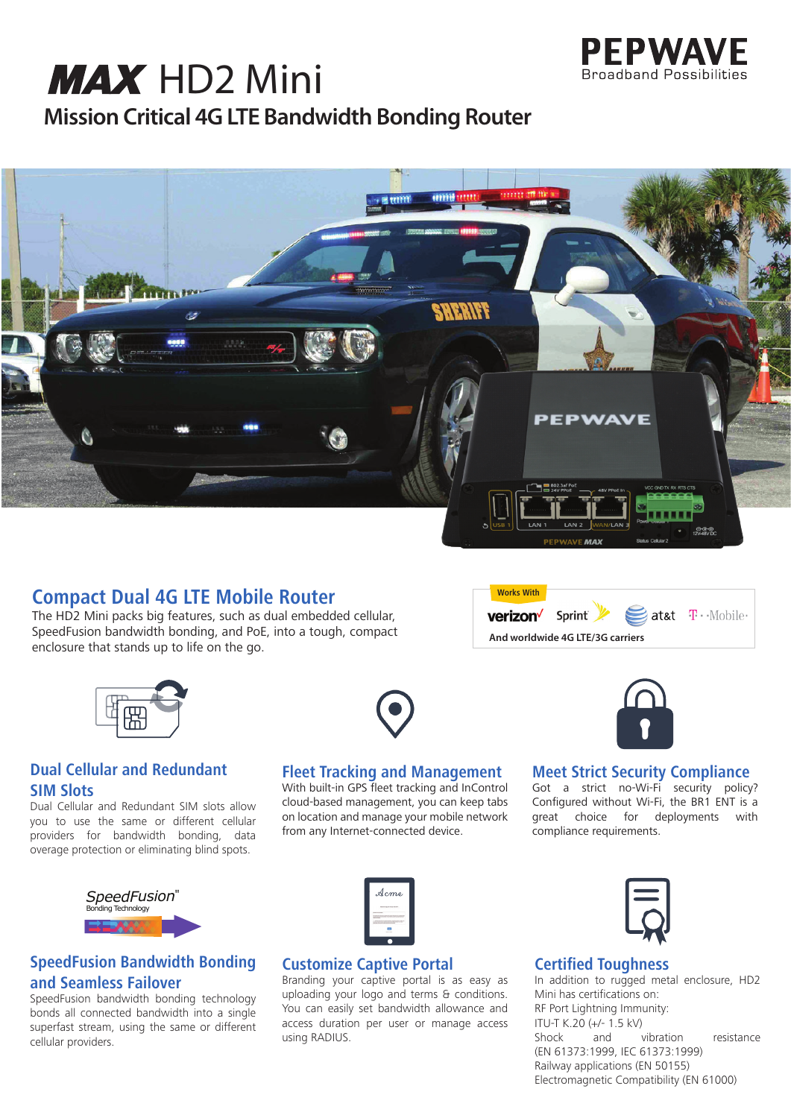

# **Mission Critical 4G LTE Bandwidth Bonding Router MAX** HD2 Mini



## **Compact Dual 4G LTE Mobile Router**

The HD2 Mini packs big features, such as dual embedded cellular, SpeedFusion bandwidth bonding, and PoE, into a tough, compact enclosure that stands up to life on the go.



## **Dual Cellular and Redundant SIM Slots**

Dual Cellular and Redundant SIM slots allow you to use the same or different cellular providers for bandwidth bonding, data overage protection or eliminating blind spots.



## **Fleet Tracking and Management**

With built-in GPS fleet tracking and InControl cloud-based management, you can keep tabs on location and manage your mobile network from any Internet-connected device.

**Works With**  $\geq$  at&t  $\mathbf{T} \cdot$  Mobile verizon<sup>/</sup> Sprint **And worldwide 4G LTE/3G carriers**



## **Meet Strict Security Compliance**

Got a strict no-Wi-Fi security policy? Configured without Wi-Fi, the BR1 ENT is a great choice for deployments with compliance requirements.



## **SpeedFusion Bandwidth Bonding and Seamless Failover**

SpeedFusion bandwidth bonding technology bonds all connected bandwidth into a single superfast stream, using the same or different cellular providers.

| Acme                                                                   |
|------------------------------------------------------------------------|
| the property of the state of the con-                                  |
| <b>SAFERED</b><br><b>MISSION EXAMINES CALIFORNIA</b><br>----<br>$-222$ |
|                                                                        |

## **Customize Captive Portal**

Branding your captive portal is as easy as uploading your logo and terms & conditions. You can easily set bandwidth allowance and access duration per user or manage access using RADIUS.



## **Certified Toughness**

In addition to rugged metal enclosure, HD2 Mini has certifications on: RF Port Lightning Immunity: ITU-T K.20  $(+/- 1.5$  kV)<br>Shock and vibration resistance (EN 61373:1999, IEC 61373:1999) Railway applications (EN 50155) Electromagnetic Compatibility (EN 61000)